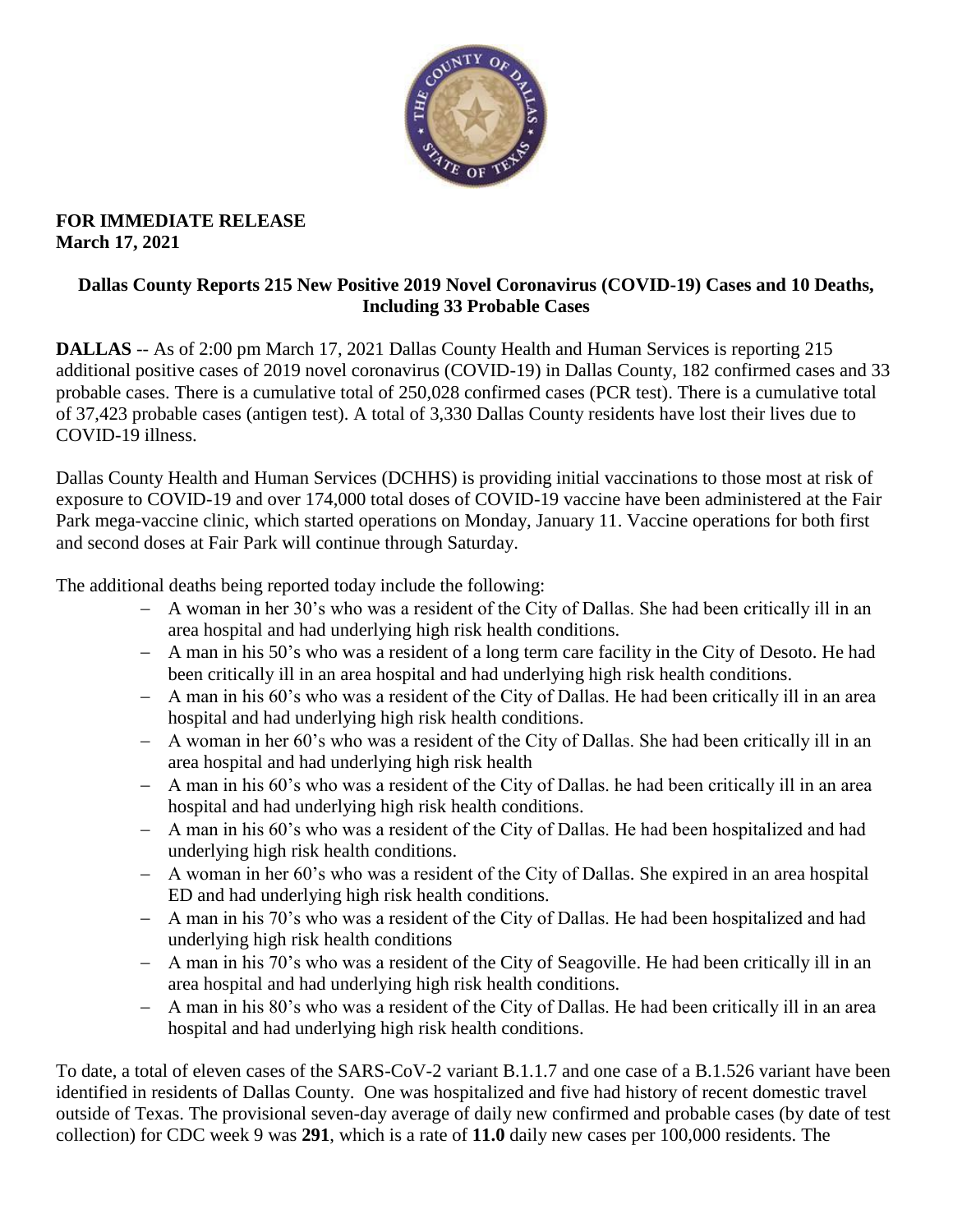

### **FOR IMMEDIATE RELEASE March 17, 2021**

### **Dallas County Reports 215 New Positive 2019 Novel Coronavirus (COVID-19) Cases and 10 Deaths, Including 33 Probable Cases**

**DALLAS** -- As of 2:00 pm March 17, 2021 Dallas County Health and Human Services is reporting 215 additional positive cases of 2019 novel coronavirus (COVID-19) in Dallas County, 182 confirmed cases and 33 probable cases. There is a cumulative total of 250,028 confirmed cases (PCR test). There is a cumulative total of 37,423 probable cases (antigen test). A total of 3,330 Dallas County residents have lost their lives due to COVID-19 illness.

Dallas County Health and Human Services (DCHHS) is providing initial vaccinations to those most at risk of exposure to COVID-19 and over 174,000 total doses of COVID-19 vaccine have been administered at the Fair Park mega-vaccine clinic, which started operations on Monday, January 11. Vaccine operations for both first and second doses at Fair Park will continue through Saturday.

The additional deaths being reported today include the following:

- A woman in her 30's who was a resident of the City of Dallas. She had been critically ill in an area hospital and had underlying high risk health conditions.
- A man in his 50's who was a resident of a long term care facility in the City of Desoto. He had been critically ill in an area hospital and had underlying high risk health conditions.
- A man in his 60's who was a resident of the City of Dallas. He had been critically ill in an area hospital and had underlying high risk health conditions.
- A woman in her 60's who was a resident of the City of Dallas. She had been critically ill in an area hospital and had underlying high risk health
- A man in his 60's who was a resident of the City of Dallas. he had been critically ill in an area hospital and had underlying high risk health conditions.
- A man in his 60's who was a resident of the City of Dallas. He had been hospitalized and had underlying high risk health conditions.
- A woman in her 60's who was a resident of the City of Dallas. She expired in an area hospital ED and had underlying high risk health conditions.
- A man in his 70's who was a resident of the City of Dallas. He had been hospitalized and had underlying high risk health conditions
- A man in his 70's who was a resident of the City of Seagoville. He had been critically ill in an area hospital and had underlying high risk health conditions.
- A man in his 80's who was a resident of the City of Dallas. He had been critically ill in an area hospital and had underlying high risk health conditions.

To date, a total of eleven cases of the SARS-CoV-2 variant B.1.1.7 and one case of a B.1.526 variant have been identified in residents of Dallas County. One was hospitalized and five had history of recent domestic travel outside of Texas. The provisional seven-day average of daily new confirmed and probable cases (by date of test collection) for CDC week 9 was **291**, which is a rate of **11.0** daily new cases per 100,000 residents. The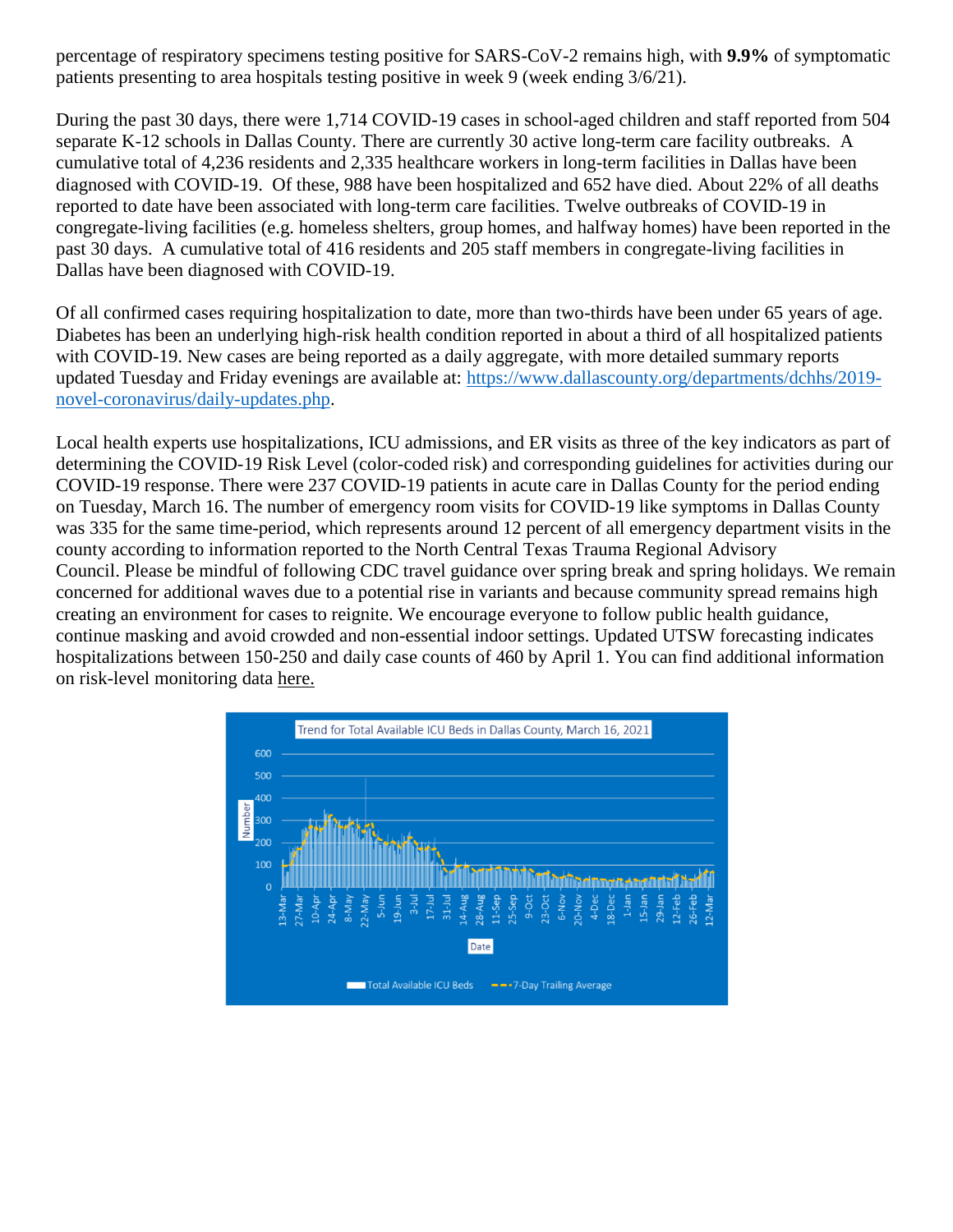percentage of respiratory specimens testing positive for SARS-CoV-2 remains high, with **9.9%** of symptomatic patients presenting to area hospitals testing positive in week 9 (week ending 3/6/21).

During the past 30 days, there were 1,714 COVID-19 cases in school-aged children and staff reported from 504 separate K-12 schools in Dallas County. There are currently 30 active long-term care facility outbreaks. A cumulative total of 4,236 residents and 2,335 healthcare workers in long-term facilities in Dallas have been diagnosed with COVID-19. Of these, 988 have been hospitalized and 652 have died. About 22% of all deaths reported to date have been associated with long-term care facilities. Twelve outbreaks of COVID-19 in congregate-living facilities (e.g. homeless shelters, group homes, and halfway homes) have been reported in the past 30 days. A cumulative total of 416 residents and 205 staff members in congregate-living facilities in Dallas have been diagnosed with COVID-19.

Of all confirmed cases requiring hospitalization to date, more than two-thirds have been under 65 years of age. Diabetes has been an underlying high-risk health condition reported in about a third of all hospitalized patients with COVID-19. New cases are being reported as a daily aggregate, with more detailed summary reports updated Tuesday and Friday evenings are available at: [https://www.dallascounty.org/departments/dchhs/2019](https://www.dallascounty.org/departments/dchhs/2019-novel-coronavirus/daily-updates.php) [novel-coronavirus/daily-updates.php.](https://www.dallascounty.org/departments/dchhs/2019-novel-coronavirus/daily-updates.php)

Local health experts use hospitalizations, ICU admissions, and ER visits as three of the key indicators as part of determining the COVID-19 Risk Level (color-coded risk) and corresponding guidelines for activities during our COVID-19 response. There were 237 COVID-19 patients in acute care in Dallas County for the period ending on Tuesday, March 16. The number of emergency room visits for COVID-19 like symptoms in Dallas County was 335 for the same time-period, which represents around 12 percent of all emergency department visits in the county according to information reported to the North Central Texas Trauma Regional Advisory Council. Please be mindful of following CDC travel guidance over spring break and spring holidays. We remain concerned for additional waves due to a potential rise in variants and because community spread remains high creating an environment for cases to reignite. We encourage everyone to follow public health guidance, continue masking and avoid crowded and non-essential indoor settings. Updated UTSW forecasting indicates hospitalizations between 150-250 and daily case counts of 460 by April 1. You can find additional information on risk-level monitoring data [here.](https://www.dallascounty.org/Assets/uploads/docs/hhs/2019-nCoV/C-19-risklevelmgmt/031621-DallasCounty-COVID-19-Hospitalization-Data.pdf)

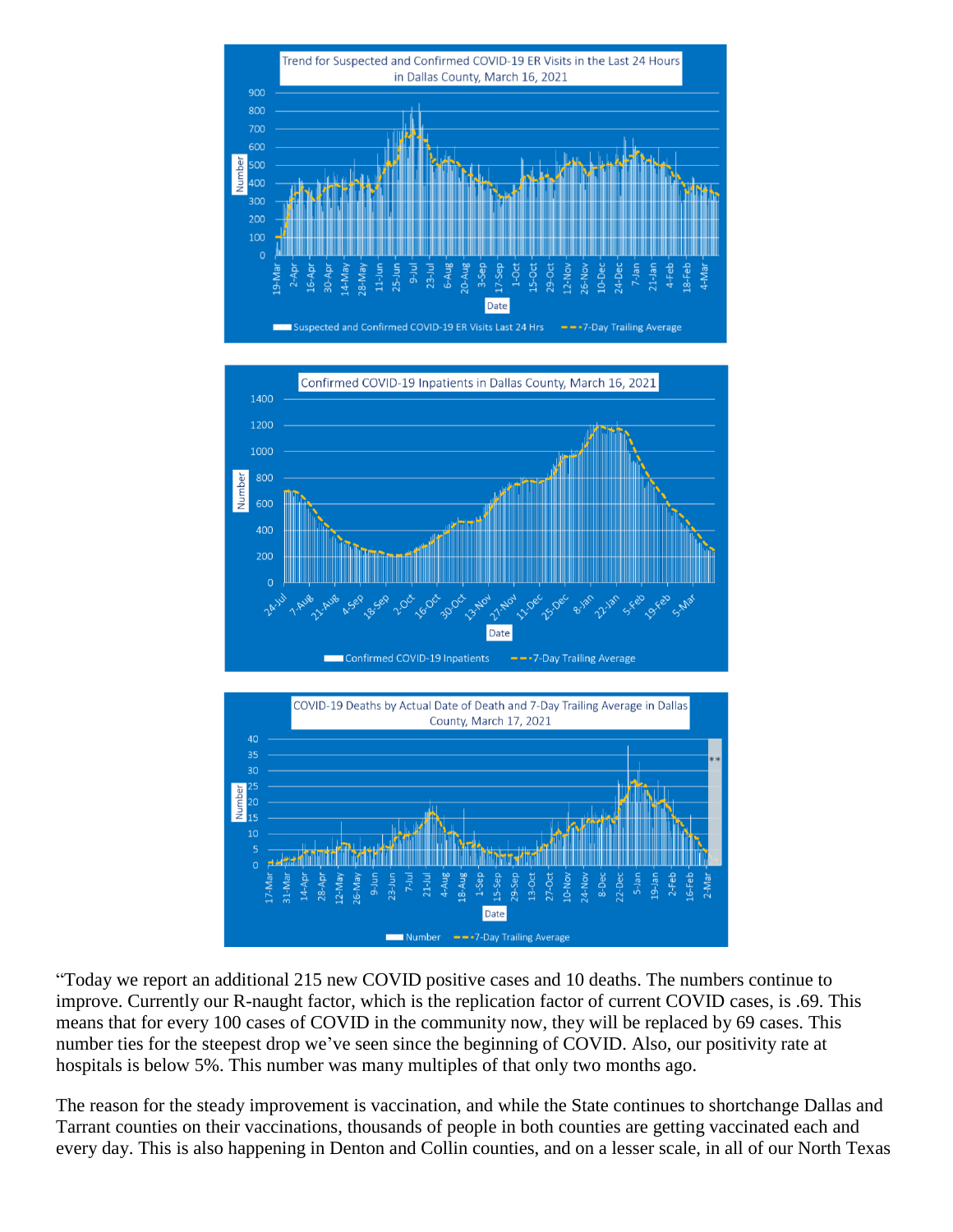





"Today we report an additional 215 new COVID positive cases and 10 deaths. The numbers continue to improve. Currently our R-naught factor, which is the replication factor of current COVID cases, is .69. This means that for every 100 cases of COVID in the community now, they will be replaced by 69 cases. This number ties for the steepest drop we've seen since the beginning of COVID. Also, our positivity rate at hospitals is below 5%. This number was many multiples of that only two months ago.

The reason for the steady improvement is vaccination, and while the State continues to shortchange Dallas and Tarrant counties on their vaccinations, thousands of people in both counties are getting vaccinated each and every day. This is also happening in Denton and Collin counties, and on a lesser scale, in all of our North Texas